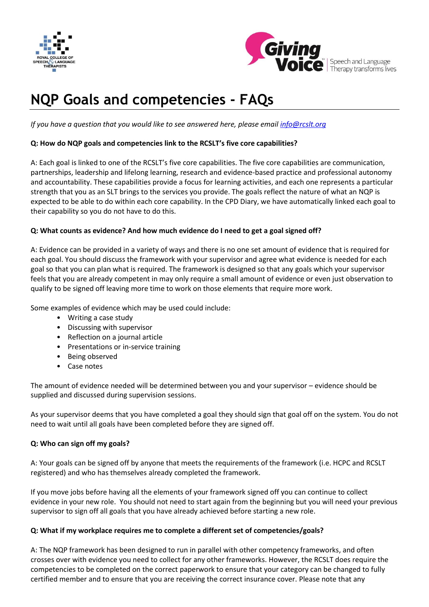



 $\left| \begin{array}{c} \bullet \\ \bullet \end{array} \right|$  Speech and Language<br>Therapy transforms lives

# **NQP Goals and competencies - FAQs**

*If you have a question that you would like to see answered here, please emai[l info@rcslt.org](mailto:info@rcslt.org)*

# **Q: How do NQP goals and competencies link to the RCSLT's five core capabilities?**

A: Each goal is linked to one of the RCSLT's five core capabilities. The five core capabilities are communication, partnerships, leadership and lifelong learning, research and evidence-based practice and professional autonomy and accountability. These capabilities provide a focus for learning activities, and each one represents a particular strength that you as an SLT brings to the services you provide. The goals reflect the nature of what an NQP is expected to be able to do within each core capability. In the CPD Diary, we have automatically linked each goal to their capability so you do not have to do this.

#### **Q: What counts as evidence? And how much evidence do I need to get a goal signed off?**

A: Evidence can be provided in a variety of ways and there is no one set amount of evidence that is required for each goal. You should discuss the framework with your supervisor and agree what evidence is needed for each goal so that you can plan what is required. The framework is designed so that any goals which your supervisor feels that you are already competent in may only require a small amount of evidence or even just observation to qualify to be signed off leaving more time to work on those elements that require more work.

Some examples of evidence which may be used could include:

- Writing a case study
- Discussing with supervisor
- Reflection on a journal article
- Presentations or in-service training
- Being observed
- Case notes

The amount of evidence needed will be determined between you and your supervisor – evidence should be supplied and discussed during supervision sessions.

As your supervisor deems that you have completed a goal they should sign that goal off on the system. You do not need to wait until all goals have been completed before they are signed off.

#### **Q: Who can sign off my goals?**

A: Your goals can be signed off by anyone that meets the requirements of the framework (i.e. HCPC and RCSLT registered) and who has themselves already completed the framework.

If you move jobs before having all the elements of your framework signed off you can continue to collect evidence in your new role. You should not need to start again from the beginning but you will need your previous supervisor to sign off all goals that you have already achieved before starting a new role.

#### **Q[: What if my workplace requires me to complete a different set of competencies/goals?](https://www.rcslt.org/members/clinical_areas/dysphagia/dysphagia_FAQs#demonstrate)**

A: The NQP framework has been designed to run in parallel with other competency frameworks, and often crosses over with evidence you need to collect for any other frameworks. However, the RCSLT does require the competencies to be completed on the correct paperwork to ensure that your category can be changed to fully certified member and to ensure that you are receiving the correct insurance cover. Please note that any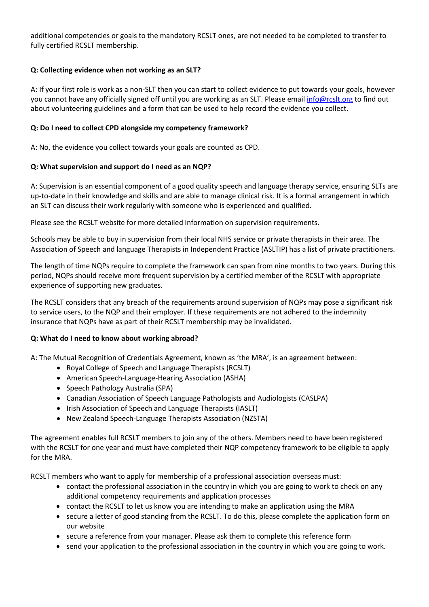additional competencies or goals to the mandatory RCSLT ones, are not needed to be completed to transfer to fully certified RCSLT membership.

# **Q[: Collecting](https://www.rcslt.org/members/clinical_areas/dysphagia/dysphagia_FAQs#student) evidence when not working as an SLT?**

A: If your first role is work as a non-SLT then you can start to collect evidence to put towards your goals, however you cannot have any officially signed off until you are working as an SLT. Please emai[l info@rcslt.org](mailto:info@rcslt.org) to find out about volunteering guidelines and a form that can be used to help record the evidence you collect.

#### **Q[: Do I need to collect CPD alongside my competency framework?](https://www.rcslt.org/members/clinical_areas/dysphagia/dysphagia_FAQs#complete)**

A: No, the evidence you collect towards your goals are counted as CPD.

#### **Q: What supervision and support do I need as an NQP?**

A: Supervision is an essential component of a good quality speech and language therapy service, ensuring SLTs are up-to-date in their knowledge and skills and are able to manage clinical risk. It is a formal arrangement in which an SLT can discuss their work regularly with someone who is experienced and qualified.

Please see the RCSLT website for more detailed information on supervision requirements.

Schools may be able to buy in supervision from their local NHS service or private therapists in their area. The [Association of Speech and language Therapists in Independent Practice](http://www.helpwithtalking.com/) (ASLTIP) has a list of private practitioners.

The length of time NQPs require to complete the framework can span from nine months to two years. During this period, NQPs should receive more frequent supervision by a certified member of the RCSLT with appropriate experience of supporting new graduates.

The RCSLT considers that any breach of the requirements around supervision of NQPs may pose a significant risk to service users, to the NQP and their employer. If these requirements are not adhered to the indemnity insurance that NQPs have as part of their RCSLT membership may be invalidated.

#### **Q[: What do I need to know about working abroad?](https://www.rcslt.org/members/clinical_areas/dysphagia/dysphagia_FAQs#supervision)**

A: The Mutual Recognition of Credentials Agreement, known as 'the MRA', is an agreement between:

- Royal College of Speech and Language Therapists (RCSLT)
- American Speech-Language-Hearing Association (ASHA)
- Speech Pathology Australia (SPA)
- Canadian Association of Speech Language Pathologists and Audiologists (CASLPA)
- Irish Association of Speech and Language Therapists (IASLT)
- New Zealand Speech-Language Therapists Association (NZSTA)

The agreement enables full RCSLT members to join any of the others. Members need to have been registered with the RCSLT for one year and must have completed their NQP competency framework to be eligible to apply for the MRA.

RCSLT members who want to apply for membership of a professional association overseas must:

- contact the professional association in the country in which you are going to work to check on any additional competency requirements and application processes
- contact the RCSLT to let us know you are intending to make an application using the MRA
- secure a letter of good standing from the RCSLT. To do this, please complete the application form on our website
- secure a reference from your manager. Please ask them to complete this reference form
- send your application to the professional association in the country in which you are going to work.